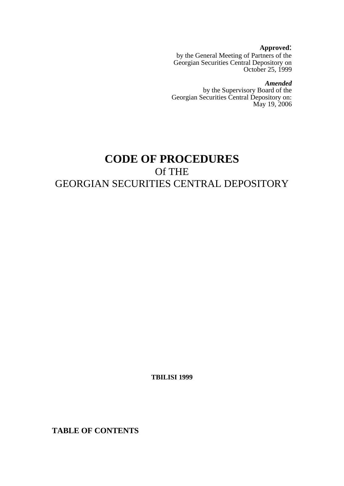**Approved**:

by the General Meeting of Partners of the Georgian Securities Central Depository on October 25, 1999

*Amended*

by the Supervisory Board of the Georgian Securities Central Depository on: May 19, 2006

# **CODE OF PROCEDURES**  Of THE GEORGIAN SECURITIES CENTRAL DEPOSITORY

**TBILISI 1999** 

**TABLE OF CONTENTS**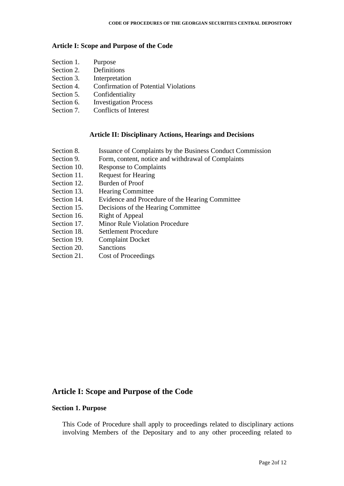#### **Article I: Scope and Purpose of the Code**

- Section 1. Purpose Section 2. Definitions Section 3. Interpretation Section 4. Confirmation of Potential Violations Section 5. Confidentiality
- Section 6. Investigation Process
- Section 7. Conflicts of Interest

### **Article II: Disciplinary Actions, Hearings and Decisions**

- Section 8. Issuance of Complaints by the Business Conduct Commission
- Section 9. Form, content, notice and withdrawal of Complaints
- Section 10. Response to Complaints
- Section 11. Request for Hearing
- Section 12. Burden of Proof
- Section 13. Hearing Committee
- Section 14. Evidence and Procedure of the Hearing Committee
- Section 15. Decisions of the Hearing Committee
- Section 16. Right of Appeal
- Section 17. Minor Rule Violation Procedure
- Section 18. Settlement Procedure
- Section 19. Complaint Docket
- Section 20. Sanctions
- Section 21. Cost of Proceedings

# **Article I: Scope and Purpose of the Code**

## **Section 1. Purpose**

This Code of Procedure shall apply to proceedings related to disciplinary actions involving Members of the Depositary and to any other proceeding related to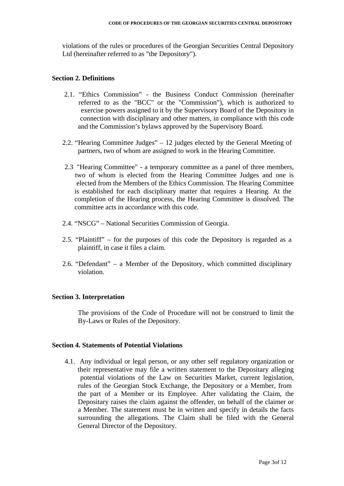violations of the rules or procedures of the Georgian Securities Central Depository Ltd (hereinafter referred to as "the Depository").

#### **Section 2. Definitions**

- 2.1. "Ethics Commission" the Business Conduct Commission (hereinafter referred to as the "BCC" or the "Commission"), which is authorized to exercise powers assigned to it by the Supervisory Board of the Depository in connection with disciplinary and other matters, in compliance with this code and the Commission's bylaws approved by the Supervisory Board.
- 2.2. "Hearing Committee Judges" 12 judges elected by the General Meeting of partners, two of whom are assigned to work in the Hearing Committee.
- 2.3 "Hearing Committee" a temporary committee as a panel of three members, two of whom is elected from the Hearing Committee Judges and one is elected from the Members of the Ethics Commission. The Hearing Committee is established for each disciplinary matter that requires a Hearing. At the completion of the Hearing process, the Hearing Committee is dissolved. The committee acts in accordance with this code.
- 2.4. "NSCG" National Securities Commission of Georgia.
- 2.5. "Plaintiff" for the purposes of this code the Depository is regarded as a plaintiff, in case it files a claim.
- 2.6. "Defendant" a Member of the Depository, which committed disciplinary violation.

#### **Section 3. Interpretation**

The provisions of the Code of Procedure will not be construed to limit the By-Laws or Rules of the Depository.

#### **Section 4. Statements of Potential Violations**

4.1. Any individual or legal person, or any other self regulatory organization or their representative may file a written statement to the Depositary alleging potential violations of the Law on Securities Market, current legislation, rules of the Georgian Stock Exchange, the Depository or a Member, from the part of a Member or its Employee. After validating the Claim, the Depositary raises the claim against the offender, on behalf of the claimer or a Member. The statement must be in written and specify in details the facts surrounding the allegations. The Claim shall be filed with the General General Director of the Depository.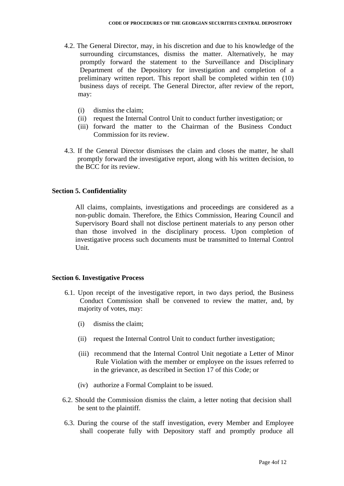- 4.2. The General Director, may, in his discretion and due to his knowledge of the surrounding circumstances, dismiss the matter. Alternatively, he may promptly forward the statement to the Surveillance and Disciplinary Department of the Depository for investigation and completion of a preliminary written report. This report shall be completed within ten (10) business days of receipt. The General Director, after review of the report, may:
	- (i) dismiss the claim;
	- (ii) request the Internal Control Unit to conduct further investigation; or
	- (iii) forward the matter to the Chairman of the Business Conduct Commission for its review.
- 4.3. If the General Director dismisses the claim and closes the matter, he shall promptly forward the investigative report, along with his written decision, to the BCC for its review.

# **Section 5. Confidentiality**

All claims, complaints, investigations and proceedings are considered as a non-public domain. Therefore, the Ethics Commission, Hearing Council and Supervisory Board shall not disclose pertinent materials to any person other than those involved in the disciplinary process. Upon completion of investigative process such documents must be transmitted to Internal Control Unit.

#### **Section 6. Investigative Process**

- 6.1. Upon receipt of the investigative report, in two days period, the Business Conduct Commission shall be convened to review the matter, and, by majority of votes, may:
	- (i) dismiss the claim;
	- (ii) request the Internal Control Unit to conduct further investigation;
	- (iii) recommend that the Internal Control Unit negotiate a Letter of Minor Rule Violation with the member or employee on the issues referred to in the grievance, as described in Section 17 of this Code; or
	- (iv) authorize a Formal Complaint to be issued.
- 6.2. Should the Commission dismiss the claim, a letter noting that decision shall be sent to the plaintiff.
- 6.3. During the course of the staff investigation, every Member and Employee shall cooperate fully with Depository staff and promptly produce all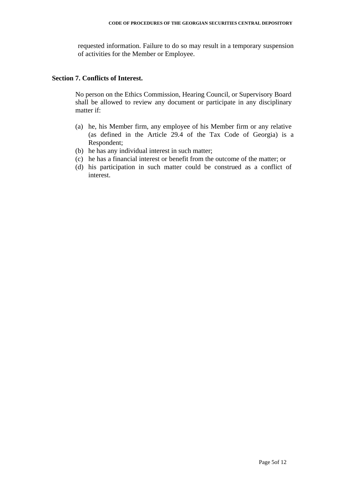requested information. Failure to do so may result in a temporary suspension of activities for the Member or Employee.

#### **Section 7. Conflicts of Interest.**

No person on the Ethics Commission, Hearing Council, or Supervisory Board shall be allowed to review any document or participate in any disciplinary matter if:

- (a) he, his Member firm, any employee of his Member firm or any relative (as defined in the Article 29.4 of the Tax Code of Georgia) is a Respondent;
- (b) he has any individual interest in such matter;
- (c) he has a financial interest or benefit from the outcome of the matter; or
- (d) his participation in such matter could be construed as a conflict of interest.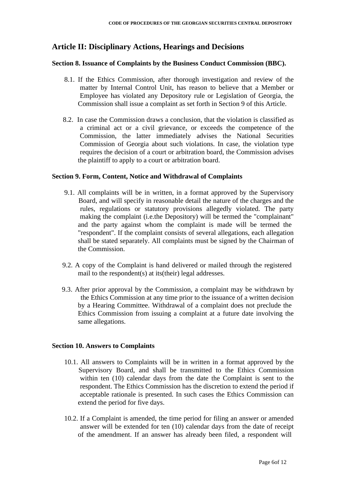# **Article II: Disciplinary Actions, Hearings and Decisions**

# **Section 8. Issuance of Complaints by the Business Conduct Commission (BBC).**

- 8.1. If the Ethics Commission, after thorough investigation and review of the matter by Internal Control Unit, has reason to believe that a Member or Employee has violated any Depository rule or Legislation of Georgia, the Commission shall issue a complaint as set forth in Section 9 of this Article.
- 8.2. In case the Commission draws a conclusion, that the violation is classified as a criminal act or a civil grievance, or exceeds the competence of the Commission, the latter immediately advises the National Securities Commission of Georgia about such violations. In case, the violation type requires the decision of a court or arbitration board, the Commission advises the plaintiff to apply to a court or arbitration board.

# **Section 9. Form, Content, Notice and Withdrawal of Complaints**

- 9.1. All complaints will be in written, in a format approved by the Supervisory Board, and will specify in reasonable detail the nature of the charges and the rules, regulations or statutory provisions allegedly violated. The party making the complaint (i.e.the Depository) will be termed the "complainant" and the party against whom the complaint is made will be termed the "respondent". If the complaint consists of several allegations, each allegation shall be stated separately. All complaints must be signed by the Chairman of the Commission.
- 9.2. A copy of the Complaint is hand delivered or mailed through the registered mail to the respondent(s) at its(their) legal addresses.
- 9.3. After prior approval by the Commission, a complaint may be withdrawn by the Ethics Commission at any time prior to the issuance of a written decision by a Hearing Committee. Withdrawal of a complaint does not preclude the Ethics Commission from issuing a complaint at a future date involving the same allegations.

# **Section 10. Answers to Complaints**

- 10.1. All answers to Complaints will be in written in a format approved by the Supervisory Board, and shall be transmitted to the Ethics Commission within ten (10) calendar days from the date the Complaint is sent to the respondent. The Ethics Commission has the discretion to extend the period if acceptable rationale is presented. In such cases the Ethics Commission can extend the period for five days.
- 10.2. If a Complaint is amended, the time period for filing an answer or amended answer will be extended for ten (10) calendar days from the date of receipt of the amendment. If an answer has already been filed, a respondent will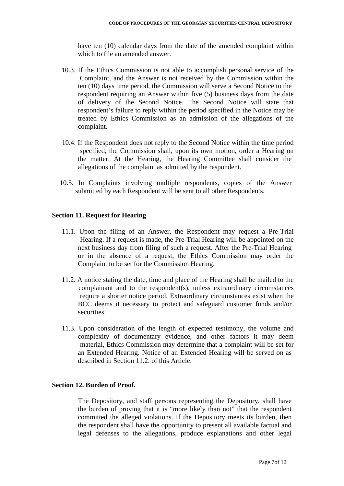have ten (10) calendar days from the date of the amended complaint within which to file an amended answer.

- 10.3. If the Ethics Commission is not able to accomplish personal service of the Complaint, and the Answer is not received by the Commission within the ten (10) days time period, the Commission will serve a Second Notice to the respondent requiring an Answer within five (5) business days from the date of delivery of the Second Notice. The Second Notice will state that respondent's failure to reply within the period specified in the Notice may be treated by Ethics Commission as an admission of the allegations of the complaint.
- 10.4. If the Respondent does not reply to the Second Notice within the time period specified, the Commission shall, upon its own motion, order a Hearing on the matter. At the Hearing, the Hearing Committee shall consider the allegations of the complaint as admitted by the respondent.
- 10.5. In Complaints involving multiple respondents, copies of the Answer submitted by each Respondent will be sent to all other Respondents.

#### **Section 11. Request for Hearing**

- 11.1. Upon the filing of an Answer, the Respondent may request a Pre-Trial Hearing. If a request is made, the Pre-Trial Hearing will be appointed on the next business day from filing of such a request. After the Pre-Trial Hearing or in the absence of a request, the Ethics Commission may order the Complaint to be set for the Commission Hearing.
- 11.2. A notice stating the date, time and place of the Hearing shall be mailed to the complainant and to the respondent(s), unless extraordinary circumstances require a shorter notice period. Extraordinary circumstances exist when the BCC deems it necessary to protect and safeguard customer funds and/or securities.
- 11.3. Upon consideration of the length of expected testimony, the volume and complexity of documentary evidence, and other factors it may deem material, Ethics Commission may determine that a complaint will be set for an Extended Hearing. Notice of an Extended Hearing will be served on as described in Section 11.2. of this Article.

#### **Section 12. Burden of Proof.**

The Depository, and staff persons representing the Depository, shall have the burden of proving that it is "more likely than not" that the respondent committed the alleged violations. If the Depository meets its burden, then the respondent shall have the opportunity to present all available factual and legal defenses to the allegations, produce explanations and other legal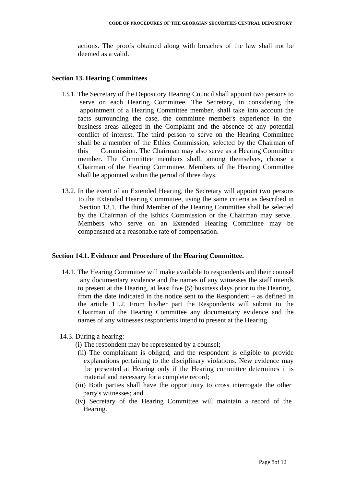actions. The proofs obtained along with breaches of the law shall not be deemed as a valid.

#### **Section 13. Hearing Committees**

- 13.1. The Secretary of the Depository Hearing Council shall appoint two persons to serve on each Hearing Committee. The Secretary, in considering the appointment of a Hearing Committee member, shall take into account the facts surrounding the case, the committee member's experience in the business areas alleged in the Complaint and the absence of any potential conflict of interest. The third person to serve on the Hearing Committee shall be a member of the Ethics Commission, selected by the Chairman of this Commission. The Chairman may also serve as a Hearing Committee member. The Committee members shall, among themselves, choose a Chairman of the Hearing Committee. Members of the Hearing Committee shall be appointed within the period of three days.
- 13.2. In the event of an Extended Hearing, the Secretary will appoint two persons to the Extended Hearing Committee, using the same criteria as described in Section 13.1. The third Member of the Hearing Committee shall be selected by the Chairman of the Ethics Commission or the Chairman may serve. Members who serve on an Extended Hearing Committee may be compensated at a reasonable rate of compensation.

#### **Section 14.1. Evidence and Procedure of the Hearing Committee.**

- 14.1. The Hearing Committee will make available to respondents and their counsel any documentary evidence and the names of any witnesses the staff intends to present at the Hearing, at least five (5) business days prior to the Hearing, from the date indicated in the notice sent to the Respondent – as defined in the article 11.2. From his/her part the Respondents will submit to the Chairman of the Hearing Committee any documentary evidence and the names of any witnesses respondents intend to present at the Hearing.
- 14.3. During a hearing:
	- (i) The respondent may be represented by a counsel;
	- (ii) The complainant is obliged, and the respondent is eligible to provide explanations pertaining to the disciplinary violations. New evidence may be presented at Hearing only if the Hearing committee determines it is material and necessary for a complete record;
	- (iii) Both parties shall have the opportunity to cross interrogate the other party's witnesses; and
	- (iv) Secretary of the Hearing Committee will maintain a record of the Hearing.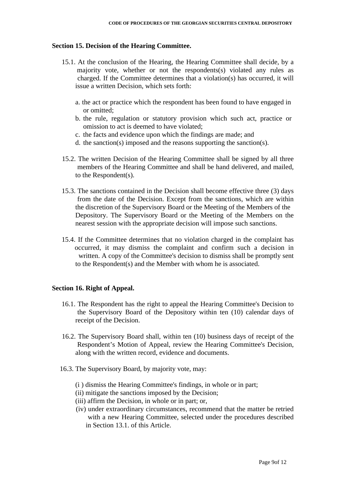# **Section 15. Decision of the Hearing Committee.**

- 15.1. At the conclusion of the Hearing, the Hearing Committee shall decide, by a majority vote, whether or not the respondents(s) violated any rules as charged. If the Committee determines that a violation(s) has occurred, it will issue a written Decision, which sets forth:
	- a. the act or practice which the respondent has been found to have engaged in or omitted;
	- b. the rule, regulation or statutory provision which such act, practice or omission to act is deemed to have violated;
	- c. the facts and evidence upon which the findings are made; and
	- d. the sanction(s) imposed and the reasons supporting the sanction(s).
- 15.2. The written Decision of the Hearing Committee shall be signed by all three members of the Hearing Committee and shall be hand delivered, and mailed, to the Respondent(s).
- 15.3. The sanctions contained in the Decision shall become effective three (3) days from the date of the Decision. Except from the sanctions, which are within the discretion of the Supervisory Board or the Meeting of the Members of the Depository. The Supervisory Board or the Meeting of the Members on the nearest session with the appropriate decision will impose such sanctions.
- 15.4. If the Committee determines that no violation charged in the complaint has occurred, it may dismiss the complaint and confirm such a decision in written. A copy of the Committee's decision to dismiss shall be promptly sent to the Respondent(s) and the Member with whom he is associated.

# **Section 16. Right of Appeal.**

- 16.1. The Respondent has the right to appeal the Hearing Committee's Decision to the Supervisory Board of the Depository within ten (10) calendar days of receipt of the Decision.
- 16.2. The Supervisory Board shall, within ten (10) business days of receipt of the Respondent's Motion of Appeal, review the Hearing Committee's Decision, along with the written record, evidence and documents.
- 16.3. The Supervisory Board, by majority vote, may:
	- (i ) dismiss the Hearing Committee's findings, in whole or in part;
	- (ii) mitigate the sanctions imposed by the Decision;
	- (iii) affirm the Decision, in whole or in part; or,
	- (iv) under extraordinary circumstances, recommend that the matter be retried with a new Hearing Committee, selected under the procedures described in Section 13.1. of this Article.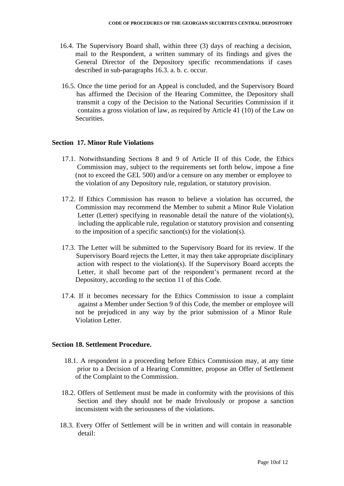- 16.4. The Supervisory Board shall, within three (3) days of reaching a decision, mail to the Respondent, a written summary of its findings and gives the General Director of the Depository specific recommendations if cases described in sub-paragraphs 16.3. a. b. c. occur.
- 16.5. Once the time period for an Appeal is concluded, and the Supervisory Board has affirmed the Decision of the Hearing Committee, the Depository shall transmit a copy of the Decision to the National Securities Commission if it contains a gross violation of law, as required by Article 41 (10) of the Law on Securities.

# **Section 17. Minor Rule Violations**

- 17.1. Notwithstanding Sections 8 and 9 of Article II of this Code, the Ethics Commission may, subject to the requirements set forth below, impose a fine (not to exceed the GEL 500) and/or a censure on any member or employee to the violation of any Depository rule, regulation, or statutory provision.
- 17.2. If Ethics Commission has reason to believe a violation has occurred, the Commission may recommend the Member to submit a Minor Rule Violation Letter (Letter) specifying in reasonable detail the nature of the violation(s), including the applicable rule, regulation or statutory provision and consenting to the imposition of a specific sanction(s) for the violation(s).
- 17.3. The Letter will be submitted to the Supervisory Board for its review. If the Supervisory Board rejects the Letter, it may then take appropriate disciplinary action with respect to the violation(s). If the Supervisory Board accepts the Letter, it shall become part of the respondent's permanent record at the Depository, according to the section 11 of this Code.
- 17.4. If it becomes necessary for the Ethics Commission to issue a complaint against a Member under Section 9 of this Code, the member or employee will not be prejudiced in any way by the prior submission of a Minor Rule Violation Letter.

# **Section 18. Settlement Procedure.**

- 18.1. A respondent in a proceeding before Ethics Commission may, at any time prior to a Decision of a Hearing Committee, propose an Offer of Settlement of the Complaint to the Commission.
- 18.2. Offers of Settlement must be made in conformity with the provisions of this Section and they should not be made frivolously or propose a sanction inconsistent with the seriousness of the violations.
- 18.3. Every Offer of Settlement will be in written and will contain in reasonable detail: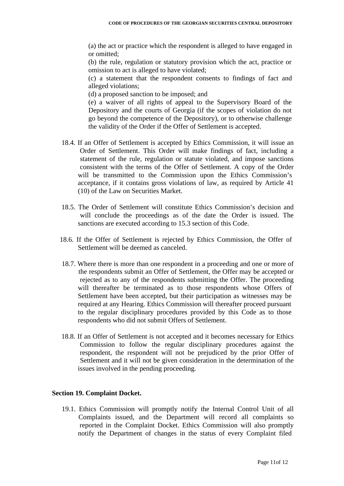(a) the act or practice which the respondent is alleged to have engaged in or omitted;

(b) the rule, regulation or statutory provision which the act, practice or omission to act is alleged to have violated;

(c) a statement that the respondent consents to findings of fact and alleged violations;

(d) a proposed sanction to be imposed; and

(e) a waiver of all rights of appeal to the Supervisory Board of the Depository and the courts of Georgia (if the scopes of violation do not go beyond the competence of the Depository), or to otherwise challenge the validity of the Order if the Offer of Settlement is accepted.

- 18.4. If an Offer of Settlement is accepted by Ethics Commission, it will issue an Order of Settlement. This Order will make findings of fact, including a statement of the rule, regulation or statute violated, and impose sanctions consistent with the terms of the Offer of Settlement. A copy of the Order will be transmitted to the Commission upon the Ethics Commission's acceptance, if it contains gross violations of law, as required by Article 41 (10) of the Law on Securities Market.
- 18.5. The Order of Settlement will constitute Ethics Commission's decision and will conclude the proceedings as of the date the Order is issued. The sanctions are executed according to 15.3 section of this Code.
- 18.6. If the Offer of Settlement is rejected by Ethics Commission, the Offer of Settlement will be deemed as canceled.
- 18.7. Where there is more than one respondent in a proceeding and one or more of the respondents submit an Offer of Settlement, the Offer may be accepted or rejected as to any of the respondents submitting the Offer. The proceeding will thereafter be terminated as to those respondents whose Offers of Settlement have been accepted, but their participation as witnesses may be required at any Hearing. Ethics Commission will thereafter proceed pursuant to the regular disciplinary procedures provided by this Code as to those respondents who did not submit Offers of Settlement.
- 18.8. If an Offer of Settlement is not accepted and it becomes necessary for Ethics Commission to follow the regular disciplinary procedures against the respondent, the respondent will not be prejudiced by the prior Offer of Settlement and it will not be given consideration in the determination of the issues involved in the pending proceeding.

# **Section 19. Complaint Docket.**

19.1. Ethics Commission will promptly notify the Internal Control Unit of all Complaints issued, and the Department will record all complaints so reported in the Complaint Docket. Ethics Commission will also promptly notify the Department of changes in the status of every Complaint filed